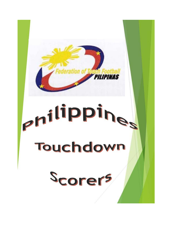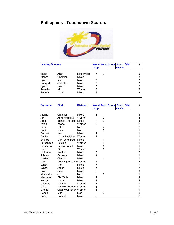## **Philippines - Touchdown Scorers**



| <b>Leading Scorers</b> |           |           |            |   | <b>World Tests Europe South OIM</b> |                |  | # |
|------------------------|-----------|-----------|------------|---|-------------------------------------|----------------|--|---|
|                        |           |           | <b>Cup</b> |   |                                     | <b>Pacific</b> |  |   |
|                        |           |           |            |   |                                     |                |  |   |
| Shine                  | Allan     | Mixed/Men |            | 2 |                                     |                |  | 9 |
| Alonzo                 | Christian | Mixed     | 8          |   |                                     |                |  | 8 |
| Lynch                  | Ivan      | Mixed     |            |   |                                     |                |  |   |
| Ronquillo              | Jackelyn  | Mixed     |            |   |                                     |                |  |   |
| Lynch                  | Jason     | Mixed     |            |   |                                     |                |  |   |
| Preysler               | Ali       | Women     | 6          |   |                                     |                |  | 6 |
| <b>Roberts</b>         | Mark      | Mixed     | 6          |   |                                     |                |  | 6 |
|                        |           |           |            |   |                                     |                |  |   |

| <b>Surname</b> | <b>First</b>            | <b>Division</b> |                |                         | <b>World Tests Europe South OIM</b> |                |  | #                       |
|----------------|-------------------------|-----------------|----------------|-------------------------|-------------------------------------|----------------|--|-------------------------|
|                |                         |                 | <b>Cup</b>     |                         |                                     | <b>Pacific</b> |  |                         |
|                |                         |                 |                |                         |                                     |                |  |                         |
| Alonzo         | Christian               | Mixed           | 8              |                         |                                     |                |  | 8                       |
| Ami            | Anne Angelika           | Women           |                | 2                       |                                     |                |  | $\overline{\mathbf{c}}$ |
| Arco           | Bianca Therese Mixed    |                 | 3              | $\overline{2}$          |                                     |                |  | 5                       |
| Ayala          | Ysabel                  | Women           | $\overline{2}$ |                         |                                     |                |  | $\overline{c}$          |
| Cecil          | Luke                    | Men             |                | $\overline{\mathbf{c}}$ |                                     |                |  | $\overline{a}$          |
| Cecil          | Mark                    | Men             |                | 1                       |                                     |                |  | 1                       |
| Corbett        | Ken                     | Mixed           | 1              |                         |                                     |                |  | 1                       |
| Dublin         | Maria Rodielita         | Women           | 1              |                         |                                     |                |  | 1                       |
| Ecaldre        | Mark John Paul Mixed    |                 |                | 1                       |                                     |                |  | 1                       |
| Fernandez      | Pauline                 | Women           |                | 1                       |                                     |                |  | 1                       |
| Francisco      | Enrico Rafael           | Mixed           |                | 1                       |                                     |                |  | 1                       |
| Galon          | Pia                     | Women           |                | 1                       |                                     |                |  | 1                       |
| Hickman        | Raphael                 | Mixed           | 3              |                         |                                     |                |  | 3                       |
| Johnson        | Suzanne                 | Mixed           | 1              |                         |                                     |                |  | 1                       |
| Lawless        | Ciaran                  | Mixed           |                | 1                       |                                     |                |  | 1                       |
| Lira           | Dominique Marie Women   |                 | 2              |                         |                                     |                |  | $\overline{c}$          |
| Lynch          | Ivan                    | Mixed           | 7              |                         |                                     |                |  | $\overline{7}$          |
| Lynch          | Jason                   | Mixed           | 7              |                         |                                     |                |  | $\overline{7}$          |
| Lynch          | Sean                    | Mixed           | 3              |                         |                                     |                |  | 3                       |
| Manucduc       | JR.                     | Men             |                | 1                       |                                     |                |  | 1                       |
| Medrano        | Pia Marie               | Mixed           | 4              |                         |                                     |                |  | 4                       |
| <b>Nelson</b>  | Megan                   | Mixed           | 4              |                         |                                     |                |  | 4                       |
| Ocampo         | Justine                 | Women           | 1              |                         |                                     |                |  | 1                       |
| Oliva          | Jamaica Marlene Women   |                 | 1              |                         |                                     |                |  | 1                       |
| Orteza         | Charity Christian Women |                 | 1              |                         |                                     |                |  | 1                       |
| Panes          | Mark                    | Men             |                | $\overline{2}$          |                                     |                |  | $\overline{c}$          |
| Pena           | Ronald                  | Mixed           | $\overline{2}$ |                         |                                     |                |  | $\overline{2}$          |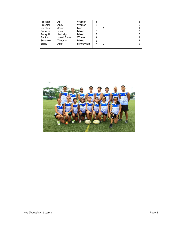| Preysler       | Ali         | Women     | 6 |   | 6 |
|----------------|-------------|-----------|---|---|---|
| Preysler       | Andy        | Women     | 5 |   | 5 |
| Quinlivan      | Jason       | Men       |   |   |   |
| <b>Roberts</b> | Mark        | Mixed     | 6 |   | 6 |
| Ronquillo      | Jackelyn    | Mixed     |   |   |   |
| Santos         | Hazel Shine | Women     |   |   |   |
| Schenken       | Timothy     | Mixed     | 2 |   | っ |
| Shine          | Allan       | Mixed/Men |   | っ | 9 |
|                |             |           |   |   |   |

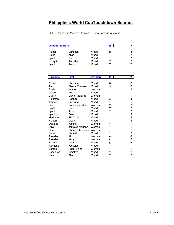## **Philippines World CupTouchdown Scorers**

2015 - Opens and Masters Divisions - Coffs Harbour, Australia

| <b>Leading Scorers</b> |             |       |   |  | 77 |
|------------------------|-------------|-------|---|--|----|
| Alonzo                 | Christian   | Mixed |   |  | 8  |
|                        |             |       | 8 |  |    |
| Shine                  | Allan       | Mixed |   |  |    |
| Lynch                  | <b>Ivan</b> | Mixed |   |  |    |
| Ronquillo              | Jackelyn    | Mixed |   |  |    |
| Lynch                  | Jason       | Mixed |   |  |    |
|                        |             |       |   |  |    |

| <b>Surname</b> | <b>First</b>               | <b>Division</b> | 15                      |  | #                       |
|----------------|----------------------------|-----------------|-------------------------|--|-------------------------|
|                |                            |                 |                         |  |                         |
| Alonzo         | Christian                  | Mixed           | 8                       |  | 8                       |
| Arco           | <b>Bianca Therese</b>      | Mixed           | 3                       |  | 3                       |
| Ayala          | Ysabel                     | Women           | $\overline{c}$          |  | $\overline{c}$          |
| Corbett        | Ken                        | Mixed           | 1                       |  | $\overline{1}$          |
| <b>Dublin</b>  | Maria Rodielita            | Women           | 1                       |  | 1                       |
| Hickman        | Raphael                    | Mixed           | 3                       |  | 3                       |
| Johnson        | Suzanne                    | Mixed           | 1                       |  | 1                       |
| Lira           | Dominique Marie P Women    |                 | $\overline{2}$          |  | $\frac{2}{7}$           |
| Lynch          | Ivan                       | Mixed           | $\overline{7}$          |  |                         |
| Lynch          | Jason                      | Mixed           | 7                       |  | 7                       |
| Lynch          | Sean                       | Mixed           | 3                       |  | 3                       |
| Medrano        | Pia Marie                  | Mixed           | 4                       |  | 4                       |
| Nelson         | Megan                      | Mixed           | 4                       |  | 4                       |
| Ocampo         | Justine                    | Women           | 1                       |  | 1                       |
| Oliva          | Jamaica Marlene            | Women           | 1                       |  |                         |
| Orteza         | Charity Christiana , Women |                 | 1                       |  | 1                       |
| Pena           | Ronald                     | Mixed           | 2                       |  | $\overline{\mathbf{c}}$ |
| Preysler       | Ali                        | Women           | 6                       |  | 6                       |
| Preysler       | Andy                       | Women           | 5                       |  | 5                       |
| Roberts        | Mark                       | Mixed           | 6                       |  | 6                       |
| Ronquillo      | Jackelyn                   | Mixed           | $\overline{7}$          |  | 7                       |
| Santos         | <b>Hazel Shine</b>         | Women           | 1                       |  | 1                       |
| Schenken       | Timothy                    | Mixed           | $\overline{\mathbf{c}}$ |  | $\overline{\mathbf{c}}$ |
| Shine          | Allan                      | Mixed           | $\overline{7}$          |  | $\overline{7}$          |
|                |                            |                 |                         |  |                         |